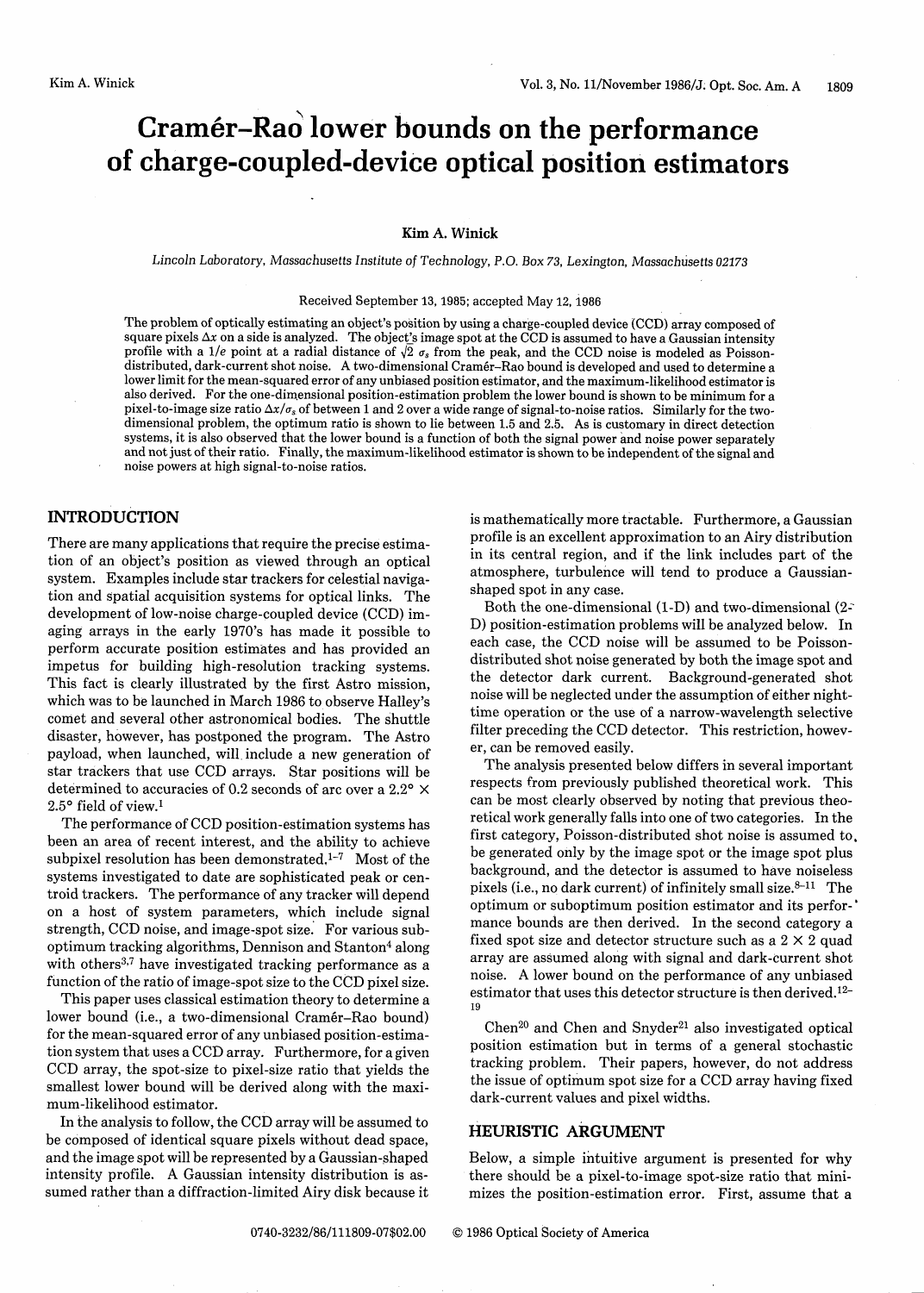# **Cramer-Rao lower bounds on the performance of charge-coupled-device optical position estimators**

### **Kim** A. **Winick**

*Lincoln Laboratory, Massachusetts* Institute *of* Technology, P.O. *Box 73,* Lexington, *Massachusetts 02173*

#### Received September 13, 1985; accepted May 12, 1986

The problem of optically estimating an object's position by using a charge-coupled device (CCD) array composed of square pixels  $\Delta x$  on a side is analyzed. The object's image spot at the CCD is assumed to have a Gaussian intensity profile with a 1/e point at a radial distance of  $\sqrt{2}$   $\sigma_s$  from the peak, and the CCD noise is modeled as Poisson-<br>distributed, dark-current shot noise. A two-dimensional Cramér-Rao bound is developed and used to dete lower limit for the mean-squared error of any unbiased position estimator, and the maximum-likelihood estimator is also derived. For the one-dimensional position-estimation problem the lower bound is shown to be minimum for a<br>pixel-to-image size ratio  $\Delta x/\sigma_s$  of between 1 and 2 over a wide range of signal-to-noise ratios. Similarly f dimensional problem, the optimum ratio is shown to lie between 1.5 and 2.5. As is customary in direct detection systems, it is also observed that the lower bound is a function of both the signal power and noise power separately and not just of their ratio. Finally, the maximum-likelihood estimator is shown to be independent of the signal and noise powers at high signal-to-noise ratios.

#### **INTRODUCTION**

There are many applications that require the precise estimation of an object's position as viewed through an optical system. Examples include star trackers for celestial navigation and spatial acquisition systems for optical links. The development of low-noise charge-coupled device (CCD) imaging arrays in the early 1970's has made it possible to perform accurate position estimates and has provided an impetus for building high-resolution tracking systems. This fact is clearly illustrated by the first Astro mission, which was to be launched in March 1986 to observe Halley's comet and several other astronomical bodies. The shuttle disaster, however, has postponed the program. The Astro payload, when launched, will, include a new generation of star trackers that use CCD arrays. Star positions will be determined to accuracies of 0.2 seconds of arc over a 2.2 $\degree$   $\times$  $2.5^{\circ}$  field of view.<sup>1</sup>

The performance of CCD position-estimation systems has been an area of recent interest, and the ability to achieve subpixel resolution has been demonstrated.<sup>1-7</sup> Most of the systems investigated to date are sophisticated peak or centroid trackers. The performance of any tracker will depend on a host of system parameters, which include signal strength, CCD noise, and image-spot size. For various suboptimum tracking algorithms, Dennison and Stanton<sup>4</sup> along with others<sup>3,7</sup> have investigated tracking performance as a function of the ratio of image-spot size to the CCD pixel size.

This paper uses classical estimation theory to determine a lower bound (i.e., a two-dimensional Cramér-Rao bound) for the mean-squared error of any unbiased position-estimation system that uses a CCD array. Furthermore, for a given CCD array, the spot-size to pixel-size ratio that yields the smallest lower bound will be derived along with the maximum-likelihood estimator.

In the analysis to follow, the CCD array will be assumed to be composed of identical square pixels without dead space, and the image spot will be represented by a Gaussian-shaped intensity profile. A Gaussian intensity distribution is assumed rather than a diffraction-limited Airy disk because it is mathematically more tractable. Furthermore, a Gaussian profile is an excellent approximation to an Airy distribution in its central region, and if the link includes part of the atmosphere, turbulence will tend to produce a Gaussianshaped spot in any case.

Both the one-dimensional  $(1-D)$  and two-dimensional  $(2-i)$ D) position-estimation problems will be analyzed below. In each case, the CCD noise will be assumed to be Poissondistributed shot noise generated by both the image spot and the detector dark current. Background-generated shot noise will be neglected under the assumption of either nighttime operation or the use of a narrow-wavelength selective filter preceding the CCD detector. This restriction, however, can be removed easily.

The analysis presented below differs in several important respects from previously published theoretical work. This can be most clearly observed by noting that previous theoretical work generally falls into one of two categories. In the first category, Poisson-distributed shot noise is assumed to, be generated only by the image spot or the image spot plus background, and the detector is assumed to have noiseless pixels (i.e., no dark current) of infinitely small size.<sup>8-11</sup> The optimum or suboptimum position estimator and its performance bounds are then derived. In the second category a fixed spot size and detector structure such as a  $2 \times 2$  quad array are assumed along with signal and dark-current shot noise. A lower bound on the performance of any unbiased estimator that uses this detector structure is then derived.12- 19

Chen<sup>20</sup> and Chen and Snyder<sup>21</sup> also investigated optical position estimation but in terms of a general stochastic tracking problem. Their papers, however, do not address the issue of optimum spot size for a CCD array having fixed dark-current values and pixel widths.

# **HEURISTIC ARGUMENT**

Below, a simple intuitive argument is presented for why there should be a pixel-to-image spot-size ratio that minimizes the position-estimation error. First, assume that a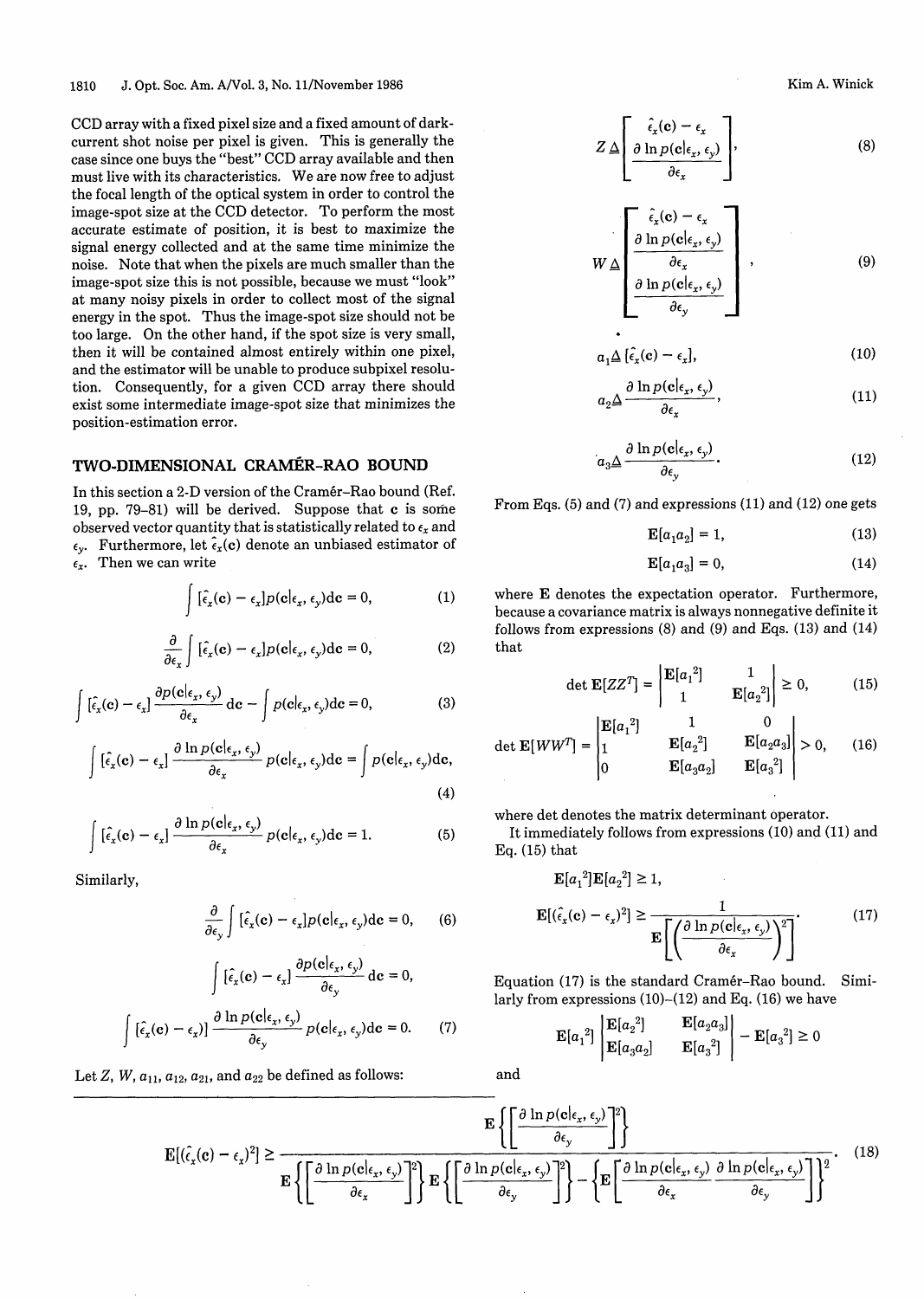CCD array with a fixed pixel size and a fixed amount of darkcurrent shot noise per pixel is given. This is generally the case since one buys the "best" CCD array available and then must live with its characteristics. We are now free to adjust the focal length of the optical system in order to control the image-spot size at the CCD detector. To perform the most accurate estimate of position, it is best to maximize the signal energy collected and at the same time minimize the noise. Note that when the pixels are much smaller than the image-spot size this is not possible, because we must "look" at many noisy pixels in order to collect most of the signal energy in the spot. Thus the image-spot size should not be too large. On the other hand, if the spot size is very small, then it will be contained almost entirely within one pixel, and the estimator will be unable to produce subpixel resolution. Consequently, for a given CCD array there should exist some intermediate image-spot size that minimizes the position-estimation error.

## **TWO-DIMENSIONAL CRAMÉR-RAO BOUND**

In this section a 2-D version of the Cramér-Rao bound (Ref. 19, pp. 79-81) will be derived. Suppose that c is some observed vector quantity that is statistically related to  $\epsilon_x$  and  $\epsilon_{y}$ . Furthermore, let  $\tilde{\epsilon}_{x}$ (c) denote an unbiased estimator of  $\epsilon_x$ . Then we can write

$$
\int [\hat{\epsilon}_x(\mathbf{c}) - \epsilon_x] p(\mathbf{c}| \epsilon_x, \epsilon_y) d\mathbf{c} = 0,
$$
 (1)

$$
\frac{\partial}{\partial \epsilon_x} \int [\hat{\epsilon}_x(\mathbf{c}) - \epsilon_x] p(\mathbf{c}| \epsilon_x, \epsilon_y) \mathrm{d}\mathbf{c} = 0, \qquad (2)
$$

$$
\int \left[\hat{\epsilon}_x(\mathbf{c}) - \epsilon_x\right] \frac{\partial p(\mathbf{c}|_{\epsilon_x}, \epsilon_y)}{\partial \epsilon_x} d\mathbf{c} - \int p(\mathbf{c}|_{\epsilon_x}, \epsilon_y) d\mathbf{c} = 0, \tag{3}
$$

$$
\int [\hat{\epsilon}_x(\mathbf{c}) - \epsilon_x] \frac{\partial \ln p(\mathbf{c}|_{\epsilon_x}, \epsilon_y)}{\partial \epsilon_x} p(\mathbf{c}|_{\epsilon_x}, \epsilon_y) d\mathbf{c} = \int p(\mathbf{c}|_{\epsilon_x}, \epsilon_y) d\mathbf{c},
$$
\n(4)

$$
\int [\hat{\epsilon}_x(\mathbf{c}) - \epsilon_x] \frac{\partial \ln p(\mathbf{c}|_{\epsilon_x}, \epsilon_y)}{\partial \epsilon_x} p(\mathbf{c}|_{\epsilon_x}, \epsilon_y) d\mathbf{c} = 1.
$$
 (5)

Similarly,

$$
\frac{\partial}{\partial \epsilon_y} \int [\hat{\epsilon}_x(\mathbf{c}) - \epsilon_x] p(\mathbf{c}| \epsilon_x, \epsilon_y) \mathrm{d}\mathbf{c} = 0, \qquad (6)
$$

$$
\int [\hat{\epsilon}_x(\mathbf{c}) - \epsilon_x] \frac{\partial p(\mathbf{c}|_{\epsilon_x}, \epsilon_y)}{\partial \epsilon_y} d\mathbf{c} = 0,
$$
  

$$
\int [\hat{\epsilon}_x(\mathbf{c}) - \epsilon_x] \frac{\partial \ln p(\mathbf{c}|_{\epsilon_x}, \epsilon_y)}{\partial \epsilon_y} p(\mathbf{c}|_{\epsilon_x}, \epsilon_y) d\mathbf{c} = 0.
$$
 (7)

Let *Z*, *W*,  $a_{11}$ ,  $a_{12}$ ,  $a_{21}$ , and  $a_{22}$  be defined as follows:

Kim A. Winick

$$
Z \triangleq \left[ \frac{\hat{\epsilon}_x(\mathbf{c}) - \epsilon_x}{\frac{\partial \ln p(\mathbf{c}| \epsilon_x, \epsilon_y)}{\partial \epsilon_x}} \right],
$$
\n(8)

$$
W \triangleq \left[\begin{array}{c} \hat{\epsilon}_x(\mathbf{c}) - \epsilon_x \\ \frac{\partial \ln p(\mathbf{c}|_{\epsilon_x}, \epsilon_y)}{\partial \epsilon_x} \\ \frac{\partial \ln p(\mathbf{c}|_{\epsilon_x}, \epsilon_y)}{\partial \epsilon_y} \end{array}\right], \tag{9}
$$

$$
a_1 \Delta \left[ \hat{\epsilon}_x(\mathbf{c}) - \epsilon_x \right], \tag{10}
$$

$$
a_2 \Delta \frac{\partial \ln p(\mathbf{c}| \epsilon_x, \epsilon_y)}{\partial \epsilon_x}, \qquad (11)
$$

$$
a_3 \Delta \frac{\partial \ln p(\mathbf{c}| \epsilon_x, \epsilon_y)}{\partial \epsilon_y}.
$$
 (12)

From Eqs. (5) and (7) and expressions (11) and (12) one gets

$$
\mathbf{E}[a_1 a_2] = 1,\t(13)
$$

$$
\mathbf{E}[a_1 a_3] = 0,\t(14)
$$

where E denotes the expectation operator. Furthermore, because a covariance matrix is always nonnegative definite it follows from expressions (8) and (9) and Eqs. (13) and (14) that

$$
\det \mathbf{E}[ZZ^T] = \begin{vmatrix} \mathbf{E}[a_1^2] & 1\\ 1 & \mathbf{E}[a_2^2] \end{vmatrix} \ge 0,\tag{15}
$$

$$
\det \mathbf{E}[WW^T] = \begin{vmatrix} \mathbf{E}[a_1^2] & 1 & 0 \\ 1 & \mathbf{E}[a_2^2] & \mathbf{E}[a_2 a_3] \\ 0 & \mathbf{E}[a_3 a_2] & \mathbf{E}[a_3^2] \end{vmatrix} > 0,\qquad(16)
$$

where det denotes the matrix determinant operator.

**(5)** It immediately follows from expressions (10) and (11) and Eq. (15) that

$$
\mathbf{E}[a_1^2] \mathbf{E}[a_2^2] \ge 1,
$$
\n
$$
\mathbf{E}[(\hat{\epsilon}_x(\mathbf{c}) - \epsilon_x)^2] \ge \frac{1}{\mathbf{E}\left[\left(\frac{\partial \ln p(\mathbf{c}|\epsilon_x, \epsilon_y)}{\partial \epsilon_x}\right)^2\right]}.
$$
\n(17)

Equation (17) is the standard Cram6r-Rao bound. Similarly from expressions  $(10)$ - $(12)$  and Eq.  $(16)$  we have

$$
\mathbf{E}[a_1^2] \begin{vmatrix} \mathbf{E}[a_2^2] & \mathbf{E}[a_2a_3] \\ \mathbf{E}[a_3a_2] & \mathbf{E}[a_3^2] \end{vmatrix} - \mathbf{E}[a_3^2] \ge 0
$$

and

 $\equiv$ 

 $9.7 - 1$ 

 $21 - 1$ 

$$
\mathbf{E}\left\{ \left[ \frac{\partial \ln p(\mathbf{c}|\epsilon_x, \epsilon_y)}{\partial \epsilon_y} \right]^2 \right\}
$$
\n
$$
\mathbf{E}\left\{ \left[ \frac{\partial \ln p(\mathbf{c}|\epsilon_x, \epsilon_y)}{\partial \epsilon_y} \right]^2 \right\}
$$
\n
$$
\mathbf{E}\left\{ \left[ \frac{\partial \ln p(\mathbf{c}|\epsilon_x, \epsilon_y)}{\partial \epsilon_x} \right]^2 \right\} \mathbf{E}\left\{ \left[ \frac{\partial \ln p(\mathbf{c}|\epsilon_x, \epsilon_y)}{\partial \epsilon_y} \right]^2 \right\} - \left\{ \mathbf{E}\left[ \frac{\partial \ln p(\mathbf{c}|\epsilon_x, \epsilon_y)}{\partial \epsilon_x} \frac{\partial \ln p(\mathbf{c}|\epsilon_x, \epsilon_y)}{\partial \epsilon_y} \right]^2 \right\} \tag{18}
$$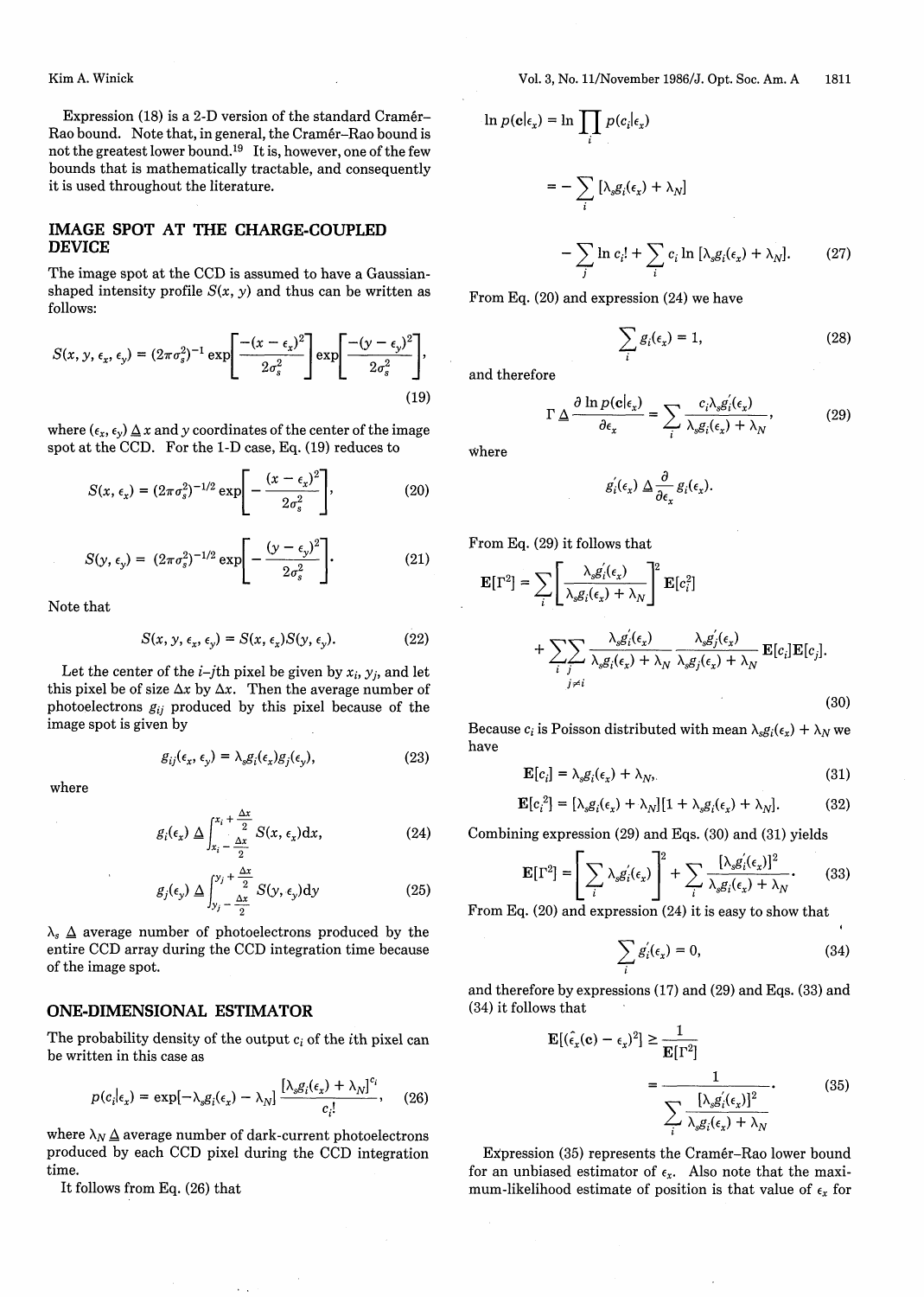Kim A. Winick

Expression (18) is a 2-D version of the standard Cramer-Rao bound. Note that, in general, the Cramer-Rao bound is not the greatest lower bound.<sup>19</sup> It is, however, one of the few bounds that is mathematically tractable, and consequently it is used throughout the literature.

#### **IMAGE SPOT AT THE CHARGE-COUPLED DEVICE**

The image spot at the CCD is assumed to have a Gaussianshaped intensity profile  $S(x, y)$  and thus can be written as follows:

$$
S(x, y, \epsilon_x, \epsilon_y) = (2\pi\sigma_s^2)^{-1} \exp\left[\frac{-(x-\epsilon_x)^2}{2\sigma_s^2}\right] \exp\left[\frac{-(y-\epsilon_y)^2}{2\sigma_s^2}\right],
$$
\n(19)

where  $(\epsilon_x, \epsilon_y) \Delta x$  and y coordinates of the center of the image spot at the CCD. For the 1-D case, Eq. (19) reduces to

$$
S(x, \epsilon_x) = (2\pi\sigma_s^2)^{-1/2} \exp\left[-\frac{(x-\epsilon_x)^2}{2\sigma_s^2}\right],
$$
 (20)

$$
S(y, \epsilon_y) = (2\pi\sigma_s^2)^{-1/2} \exp\left[-\frac{(y-\epsilon_y)^2}{2\sigma_s^2}\right].
$$
 (21)

Note that

$$
S(x, y, \epsilon_x, \epsilon_y) = S(x, \epsilon_x) S(y, \epsilon_y).
$$
 (22)

Let the center of the  $i$ -j<sup>th</sup> pixel be given by  $x_i$ ,  $y_j$ , and let this pixel be of size  $\Delta x$  by  $\Delta x$ . Then the average number of photoelectrons  $g_{ij}$  produced by this pixel because of the image spot is given by

$$
g_{ij}(\epsilon_x, \epsilon_y) = \lambda_s g_i(\epsilon_x) g_j(\epsilon_y), \qquad (23)
$$

where

$$
g_i(\epsilon_x) \underline{\Delta} \int_{x_i - \frac{\Delta x}{2}}^{x_i + \frac{\Delta x}{2}} S(x, \epsilon_x) dx,
$$
 (24)

$$
g_j(\epsilon_y) \underline{\Delta} \int_{y_j - \frac{\Delta x}{2}}^{y_j + \frac{\Delta x}{2}} S(y, \epsilon_y) dy
$$
 (25)

 $\lambda_s \Delta$  average number of photoelectrons produced by the entire CCD array during the CCD integration time because of the image spot.

#### **ONE-DIMENSIONAL ESTIMATOR**

The probability density of the output  $c_i$  of the *i*th pixel can be written in this case as

$$
p(c_i|\epsilon_x) = \exp[-\lambda_s g_i(\epsilon_x) - \lambda_N] \frac{[\lambda_s g_i(\epsilon_x) + \lambda_N]^{c_i}}{c_i!}, \quad (26)
$$

where  $\lambda_N \Delta$  average number of dark-current photoelectrons produced by each CCD pixel during the CCD integration time.

It follows from Eq. (26) that

$$
\ln p(\mathbf{c}|\epsilon_x) = \ln \prod_i p(c_i|\epsilon_x)
$$
  
= 
$$
- \sum_i \left[ \lambda_s g_i(\epsilon_x) + \lambda_N \right]
$$
  

$$
- \sum_j \ln c_i! + \sum_i c_i \ln \left[ \lambda_s g_i(\epsilon_x) + \lambda_N \right].
$$
 (27)

From Eq. (20) and expression (24) we have

$$
\sum_{i} g_i(\epsilon_x) = 1,\tag{28}
$$

and therefore

$$
\Gamma \underline{\Delta} \frac{\partial \ln p(\mathbf{c}| \epsilon_x)}{\partial \epsilon_x} = \sum_i \frac{c_i \lambda_s g_i'(\epsilon_x)}{\lambda_s g_i(\epsilon_x) + \lambda_N}, \tag{29}
$$

where

$$
g_i^{'}(\epsilon_x) \Delta \frac{\partial}{\partial \epsilon_x} g_i(\epsilon_x).
$$

From Eq. (29) it follows that

$$
\mathbf{E}[\Gamma^2] = \sum_{i} \left[ \frac{\lambda_s g_i(\epsilon_x)}{\lambda_s g_i(\epsilon_x) + \lambda_N} \right]^2 \mathbf{E}[c_i^2] + \sum_{i} \sum_{j \neq i} \frac{\lambda_s g'_i(\epsilon_x)}{\lambda_s g_i(\epsilon_x) + \lambda_N} \frac{\lambda_s g'_j(\epsilon_x)}{\lambda_s g_j(\epsilon_x) + \lambda_N} \mathbf{E}[c_i] \mathbf{E}[c_j].
$$
\n(30)

Because  $c_i$  is Poisson distributed with mean  $\lambda_s g_i(\epsilon_x) + \lambda_N$  we have

$$
\mathbf{E}[c_i] = \lambda_s g_i(\epsilon_x) + \lambda_N,\tag{31}
$$

$$
\mathbf{E}[c_i^2] = [\lambda_s g_i(\epsilon_x) + \lambda_N][1 + \lambda_s g_i(\epsilon_x) + \lambda_N]. \tag{32}
$$

(24) Combining expression (29) and Eqs. (30) and (31) yields

$$
\mathbf{E}[\Gamma^2] = \left[\sum_i \lambda_s g_i'(\epsilon_x)\right]^2 + \sum_i \frac{[\lambda_s g_i'(\epsilon_x)]^2}{\lambda_s g_i(\epsilon_x) + \lambda_N}.
$$
 (33)

From Eq. (20) and expression (24) it is easy to show that

$$
\sum_{i} g_i'(\epsilon_x) = 0,\tag{34}
$$

and therefore by expressions (17) and (29) and Eqs. (33) and (34) it follows that

$$
\mathbf{E}[(\hat{\epsilon}_x(\mathbf{c}) - \epsilon_x)^2] \ge \frac{1}{\mathbf{E}[\Gamma^2]}
$$
  
= 
$$
\frac{1}{\sum_i \frac{[\lambda_s g_i'(\epsilon_x)]^2}{\lambda_s g_i(\epsilon_x) + \lambda_N}}
$$
(35)

Expression (35) represents the Cramér-Rao lower bound for an unbiased estimator of  $\epsilon_x$ . Also note that the maximum-likelihood estimate of position is that value of  $\epsilon_x$  for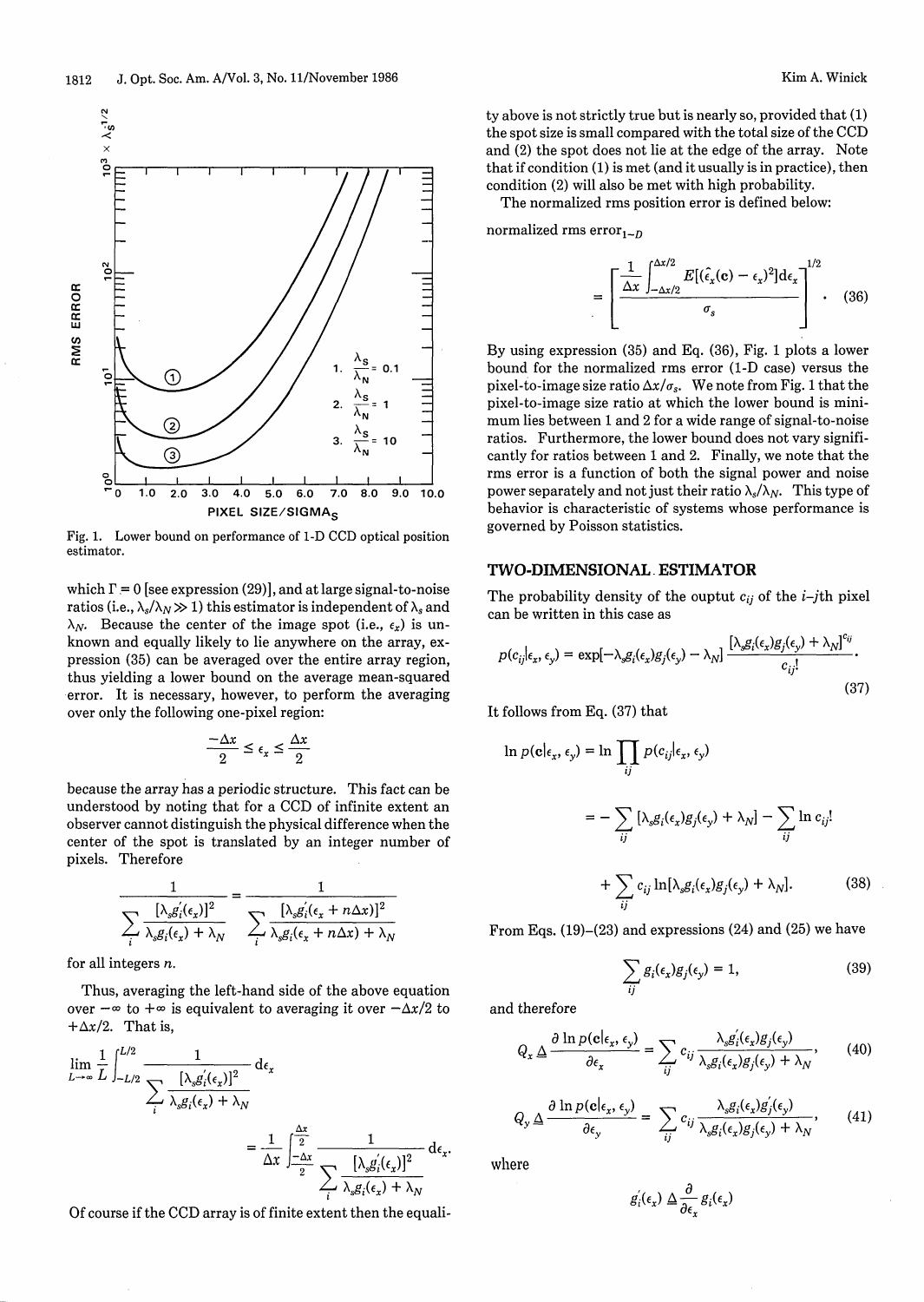

Fig. 1. Lower bound on performance of 1-D CCD optical position estimator.

which  $\Gamma = 0$  [see expression (29)], and at large signal-to-noise ratios (i.e.,  $\lambda_s/\lambda_N \gg 1$ ) this estimator is independent of  $\lambda_s$  and  $\lambda_N$ . Because the center of the image spot (i.e.,  $\epsilon_x$ ) is unknown and equally likely to lie anywhere on the array, expression (35) can be averaged over the entire array region, thus yielding a lower bound on the average mean-squared error. It is necessary, however, to perform the averaging over only the following one-pixel region:

$$
\frac{-\Delta x}{2} \le \epsilon_x \le \frac{\Delta x}{2}
$$

because the array has a periodic structure. This fact can be understood by noting that for a CCD of infinite extent an observer cannot distinguish the physical difference when the center of the spot is translated by an integer number of pixels. Therefore

$$
\frac{1}{\sum_{i} \frac{[\lambda_s g_i'(\epsilon_x)]^2}{\lambda_s g_i(\epsilon_x) + \lambda_N}} = \frac{1}{\sum_{i} \frac{[\lambda_s g_i'(\epsilon_x + n\Delta x)]^2}{\lambda_s g_i(\epsilon_x + n\Delta x) + \lambda_N}}
$$

for all integers n.

Thus, averaging the left-hand side of the above equation over  $-\infty$  to  $+\infty$  is equivalent to averaging it over  $-\Delta x/2$  to  $+\Delta x/2$ . That is,

$$
\lim_{L \to \infty} \frac{1}{L} \int_{-L/2}^{L/2} \frac{1}{\sum_{i} \frac{[\lambda_s g_i'(\epsilon_x)]^2}{\lambda_s g_i(\epsilon_x) + \lambda_N}} d\epsilon_x
$$
\n
$$
= \frac{1}{\Delta x} \int_{-\frac{\Delta x}{2}}^{\frac{\Delta x}{2}} \frac{1}{\sum_{i} \frac{[\lambda_s g_i'(\epsilon_x)]^2}{\lambda_s g_i(\epsilon_x) + \lambda_N}} d\epsilon_x.
$$

Of course if the CCD array is of finite extent then the equali-

ty above is not strictly true but is nearly so, provided that (1) the spot size is small compared with the total size of the CCD and (2) the spot does not lie at the edge of the array. Note that if condition (1) is met (and it usually is in practice), then condition (2) will also be met with high probability.

The normalized rms position error is defined below:

normalized rms error $_{1-D}$ 

$$
= \left[\frac{\frac{1}{\Delta x} \int_{-\Delta x/2}^{\Delta x/2} E[(\hat{\epsilon}_x(\mathbf{c}) - \epsilon_x)^2] d\epsilon_x}{\sigma_s}\right]^{1/2}.
$$
 (36)

By using expression (35) and Eq. (36), Fig. 1 plots a lower bound for the normalized rms error (1-D case) versus the pixel-to-image size ratio  $\Delta x / \sigma_s$ . We note from Fig. 1 that the pixel-to-image size ratio at which the lower bound is minimum lies between 1 and 2 for a wide range of signal-to-noise ratios. Furthermore, the lower bound does not vary significantly for ratios between 1 and 2. Finally, we note that the rms error is a function of both the signal power and noise power separately and not just their ratio  $\lambda_s/\lambda_N$ . This type of behavior is characteristic of systems whose performance is governed by Poisson statistics.

# **TWO-DIMENSIONAL- ESTIMATOR**

The probability density of the ouptut  $c_{ij}$  of the *i*-*j*th pixel can be written in this case as

$$
p(c_{ij}| \epsilon_x, \epsilon_y) = \exp[-\lambda_s g_i(\epsilon_x) g_j(\epsilon_y) - \lambda_N] \frac{[\lambda_s g_i(\epsilon_x) g_j(\epsilon_y) + \lambda_N]^{c_{ij}}}{c_{ij}!}.
$$
\n(37)

It follows from Eq. (37) that

$$
\ln p(\mathbf{c}|_{\epsilon_x}, \epsilon_y) = \ln \prod_{ij} p(c_{ij}|_{\epsilon_x}, \epsilon_y)
$$
  

$$
= - \sum_{ij} \left[ \lambda_s g_i(\epsilon_x) g_j(\epsilon_y) + \lambda_N \right] - \sum_{ij} \ln c_{ij}!
$$
  

$$
+ \sum_{ij} c_{ij} \ln[\lambda_s g_i(\epsilon_x) g_j(\epsilon_y) + \lambda_N]. \tag{38}
$$

From Eqs. (19)-(23) and expressions (24) and (25) we have

$$
\sum_{ij} g_i(\epsilon_x) g_j(\epsilon_y) = 1, \tag{39}
$$

and therefore

$$
Q_x \triangleq \frac{\partial \ln p(\mathbf{c}|_{\epsilon_x}, \epsilon_y)}{\partial \epsilon_x} = \sum_{ij} c_{ij} \frac{\lambda_s g_i'(\epsilon_x) g_j(\epsilon_y)}{\lambda_s g_i(\epsilon_x) g_j(\epsilon_y) + \lambda_N}, \qquad (40)
$$

$$
Q_{y} \Delta \frac{\partial \ln p(\mathbf{c}|_{\epsilon_{x}}, \epsilon_{y})}{\partial \epsilon_{y}} = \sum_{ij} c_{ij} \frac{\lambda_{s} g_{i}(\epsilon_{x}) g_{j}'(\epsilon_{y})}{\lambda_{s} g_{i}(\epsilon_{x}) g_{j}(\epsilon_{y}) + \lambda_{N}}, \qquad (41)
$$

where

$$
g_i'(\epsilon_x) \mathbin{\triangle} \frac{\partial}{\partial \epsilon_x} g_i(\epsilon_x)
$$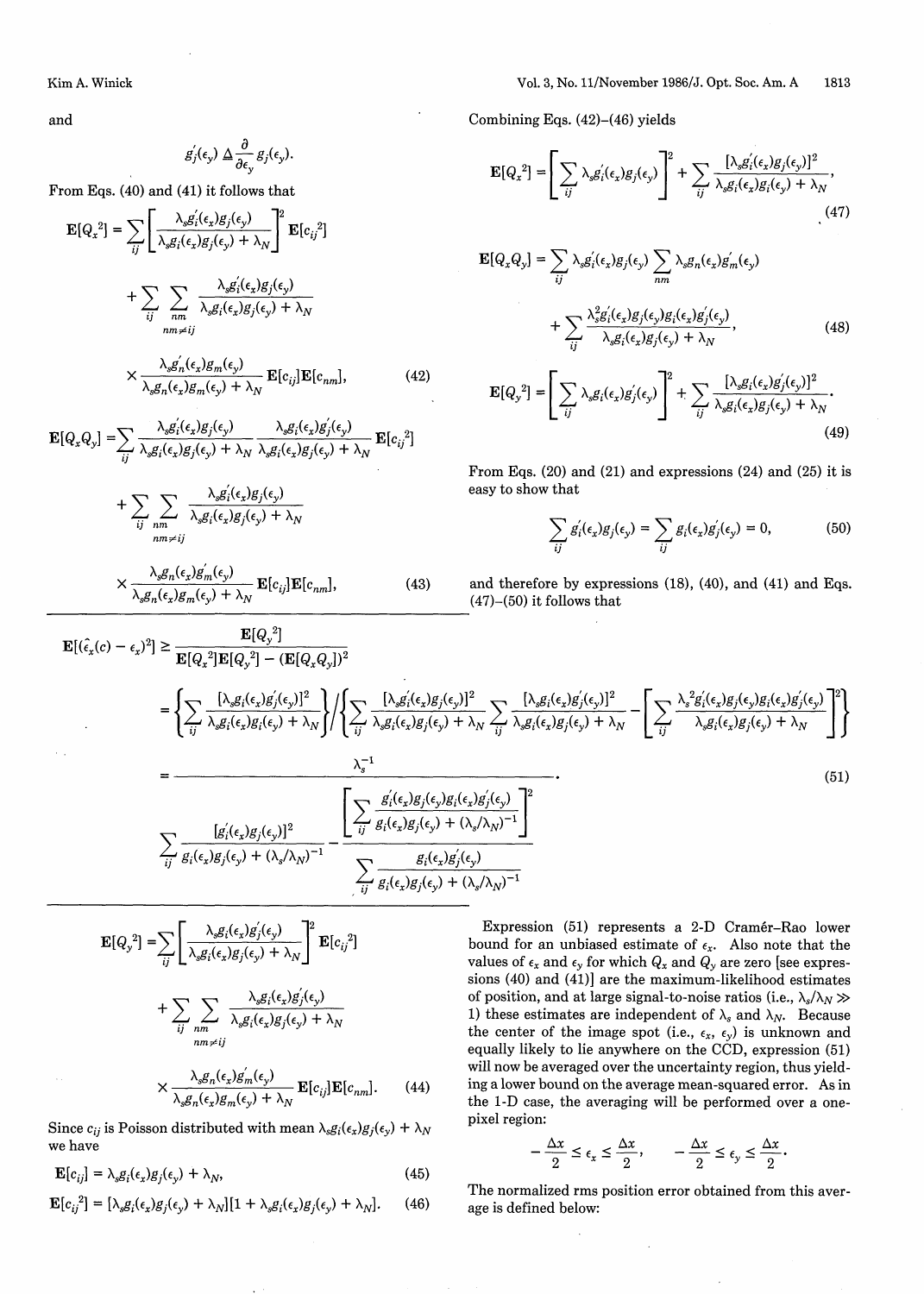and

$$
g_j^{'}(\epsilon_y) \Delta \frac{\partial}{\partial \epsilon_y} g_j(\epsilon_y).
$$

From Eqs. (40) and (41) it follows that

$$
\mathbf{E}[Q_x^2] = \sum_{ij} \left[ \frac{\lambda_s g_i'(\epsilon_x) g_j(\epsilon_y)}{\lambda_s g_i(\epsilon_x) g_j(\epsilon_y) + \lambda_N} \right]^2 \mathbf{E}[c_{ij}^2]
$$
  
+ 
$$
\sum_{ij} \sum_{nm} \frac{\lambda_s g_i'(\epsilon_x) g_j(\epsilon_y)}{\lambda_s g_i(\epsilon_x) g_j(\epsilon_y) + \lambda_N}
$$
  

$$
\times \frac{\lambda_s g_n'(\epsilon_x) g_m(\epsilon_y)}{\lambda_s g_n(\epsilon_x) g_m(\epsilon_y) + \lambda_N} \mathbf{E}[c_{ij}] \mathbf{E}[c_{nm}], \qquad (42)
$$
  
FIGO Q1 = 
$$
\sum_{n} \frac{\lambda_s g_i'(\epsilon_x) g_j(\epsilon_y)}{\lambda_s g_i(\epsilon_x) g_j(\epsilon_y)} \frac{\lambda_s g_i(\epsilon_x) g_j'(\epsilon_y)}{\lambda_s g_i(\epsilon_x) g_j'(\epsilon_y)}
$$

$$
\mathbf{E}[Q_x Q_y] = \sum_{ij} \frac{\lambda_{sS_i}(e_x g_j(e_y))}{\lambda_s g_i(\epsilon_x) g_j(\epsilon_y) + \lambda_N} \frac{\lambda_{sS_i}(e_x g_j(e_y))}{\lambda_s g_i(\epsilon_x) g_j(\epsilon_y) + \lambda_N} \mathbf{E}[c_{ij}^2]
$$

$$
+\sum_{ij}\sum_{nm\neq ij}\frac{\lambda_s g_i(\epsilon_x)g_j(\epsilon_y)}{\lambda_s g_i(\epsilon_x)g_j(\epsilon_y)+\lambda_N}
$$

$$
\times \frac{\lambda_s g_n(\epsilon_x) g_m(\epsilon_y)}{\lambda_s g_n(\epsilon_x) g_m(\epsilon_y) + \lambda_N} \mathbf{E}[c_{ij}] \mathbf{E}[c_{nm}],
$$
\n(43)

Combining Eqs. (42)-(46) yields

$$
\mathbf{E}[Q_x^2] = \left[\sum_{ij} \lambda_s g_i'(\epsilon_x) g_j(\epsilon_y)\right]^2 + \sum_{ij} \frac{[\lambda_s g_i'(\epsilon_x) g_j(\epsilon_y)]^2}{\lambda_s g_i(\epsilon_x) g_i(\epsilon_y) + \lambda_N},\tag{47}
$$

$$
\mathbf{E}[Q_x Q_y] = \sum_{ij} \lambda_s g'_i(\epsilon_x) g_j(\epsilon_y) \sum_{nm} \lambda_s g_n(\epsilon_x) g'_m(\epsilon_y)
$$
  
+ 
$$
\sum_{ij} \frac{\lambda_s^2 g'_i(\epsilon_x) g_j(\epsilon_y) g_i(\epsilon_x) g'_j(\epsilon_y)}{\lambda_s g_i(\epsilon_x) g_j(\epsilon_y) + \lambda_N},
$$
(48)  

$$
\mathbf{E}[Q_y^2] = \left[ \sum_{ij} \lambda_s g_i(\epsilon_x) g'_j(\epsilon_y) \right]^2 + \sum_{ij} \frac{[\lambda_s g_i(\epsilon_x) g'_j(\epsilon_y)]^2}{\lambda_s g_i(\epsilon_x) g_j(\epsilon_y) + \lambda_N}.
$$
(49)

$$
\mathbf{E}[Q_{y}^{2}] = \left[\sum_{ij} \lambda_{s} g_{i}(\epsilon_{x}) g_{j}^{'}(\epsilon_{y})\right]^{2} + \sum_{ij} \frac{[\lambda_{s} g_{i}(\epsilon_{x}) g_{j}^{'}(\epsilon_{y})]^{2}}{\lambda_{s} g_{i}(\epsilon_{x}) g_{j}(\epsilon_{y}) + \lambda_{N}}.
$$
\n(49)

From Eqs. (20) and (21) and expressions (24) and (25) it is easy to show that

$$
\sum_{ij} g'_i(\epsilon_x) g_j(\epsilon_y) = \sum_{ij} g_i(\epsilon_x) g'_j(\epsilon_y) = 0, \tag{50}
$$

and therefore by expressions (18), (40), and (41) and Eqs. (47)-(50) it follows that

$$
\mathbf{E}[(\hat{\epsilon}_{x}(c) - \epsilon_{x})^{2}] \geq \frac{\mathbf{E}[Q_{y}^{2}]}{\mathbf{E}[Q_{x}^{2}]\mathbf{E}[Q_{y}^{2}] - (\mathbf{E}[Q_{x}Q_{y}])^{2}} \n= \left\{\sum_{ij} \frac{[\lambda_{s}g_{i}(\epsilon_{x})g_{j}(\epsilon_{y})]^{2}}{\lambda_{s}g_{i}(\epsilon_{x})g_{i}(\epsilon_{y}) + \lambda_{N}}\right\} / \left\{\sum_{ij} \frac{[\lambda_{s}g_{i}(\epsilon_{x})g_{j}(\epsilon_{y})]^{2}}{\lambda_{s}g_{i}(\epsilon_{x})g_{j}(\epsilon_{y}) + \lambda_{N}}\sum_{ij} \frac{[\lambda_{s}g_{i}(\epsilon_{x})g_{j}(\epsilon_{y})]^{2}}{\lambda_{s}g_{i}(\epsilon_{x})g_{j}(\epsilon_{y}) + \lambda_{N}} - \left[\sum_{ij} \frac{\lambda_{s}^{2}g_{i}(\epsilon_{s})g_{j}(\epsilon_{y})g_{i}(\epsilon_{x})g_{j}(\epsilon_{y})}{\lambda_{s}g_{i}(\epsilon_{x})g_{j}(\epsilon_{y}) + \lambda_{N}}\right]^{2}\right\}
$$
\n
$$
= \frac{\lambda_{0}^{-1}}{\lambda_{0}g_{i}(\epsilon_{0}g_{j}(\epsilon_{y}))^{2}} \frac{\left[\sum_{ij} \frac{g_{i}(\epsilon_{x})g_{j}(\epsilon_{y})g_{i}(\epsilon_{y})g_{i}(\epsilon_{y})}{g_{i}(\epsilon_{x})g_{j}(\epsilon_{y}) + (\lambda_{s}/\lambda_{N})}\right]^{2}}{\sum_{ij} \frac{g_{i}(\epsilon_{x})g_{j}(\epsilon_{y})}{g_{i}(\epsilon_{x})g_{j}(\epsilon_{y}) + (\lambda_{s}/\lambda_{N})^{-1}}}\right]^{2}} \tag{51}
$$

$$
\mathbf{E}[Q_{y}^{2}] = \sum_{ij} \left[ \frac{\lambda_{s}g_{i}(\epsilon_{x})g'_{j}(\epsilon_{y})}{\lambda_{s}g_{i}(\epsilon_{x})g_{j}(\epsilon_{y}) + \lambda_{N}} \right]^{2} \mathbf{E}[c_{ij}^{2}]
$$

$$
+ \sum_{ij} \sum_{nm} \frac{\lambda_{s}g_{i}(\epsilon_{x})g'_{j}(\epsilon_{y})}{\lambda_{s}g_{i}(\epsilon_{x})g_{j}(\epsilon_{y}) + \lambda_{N}}
$$

$$
\times \frac{\lambda_{s}g_{n}(\epsilon_{x})g'_{m}(\epsilon_{y})}{\lambda_{s}g_{n}(\epsilon_{x})g_{m}(\epsilon_{y}) + \lambda_{N}} \mathbf{E}[c_{ij}]\mathbf{E}[c_{nm}]. \quad (44)
$$

Since  $c_{ij}$  is Poisson distributed with mean  $\lambda_s g_i(\epsilon_x)g_j(\epsilon_y) + \lambda_N$ we have

 $\mathbf{E}[c_{ij}] = \lambda_s g_i(\epsilon_x) g_j(\epsilon_y) + \lambda_N,$  (45)

$$
\mathbf{E}[c_{ij}^2] = [\lambda_s g_i(\epsilon_x) g_j(\epsilon_y) + \lambda_N][1 + \lambda_s g_i(\epsilon_x) g_j(\epsilon_y) + \lambda_N].
$$
 (46)

Expression (51) represents a 2-D Cramér-Rao lower bound for an unbiased estimate of  $\epsilon_x$ . Also note that the values of  $\epsilon_x$  and  $\epsilon_y$  for which  $Q_x$  and  $Q_y$  are zero [see expressions (40) and (41)] are the maximum-likelihood estimates of position, and at large signal-to-noise ratios (i.e.,  $\lambda_s/\lambda_N \gg$ 1) these estimates are independent of  $\lambda_s$  and  $\lambda_N$ . Because the center of the image spot (i.e.,  $\epsilon_x$ ,  $\epsilon_y$ ) is unknown and equally likely to lie anywhere on the CCD, expression (51) will now be averaged over the uncertainty region, thus yielding a lower bound on the average mean-squared error. As in the 1-D case, the averaging will be performed over a onepixel region:

$$
-\frac{\Delta x}{2} \le \epsilon_x \le \frac{\Delta x}{2}, \qquad -\frac{\Delta x}{2} \le \epsilon_y \le \frac{\Delta x}{2}
$$

The normalized rms position error obtained from this average is defined below: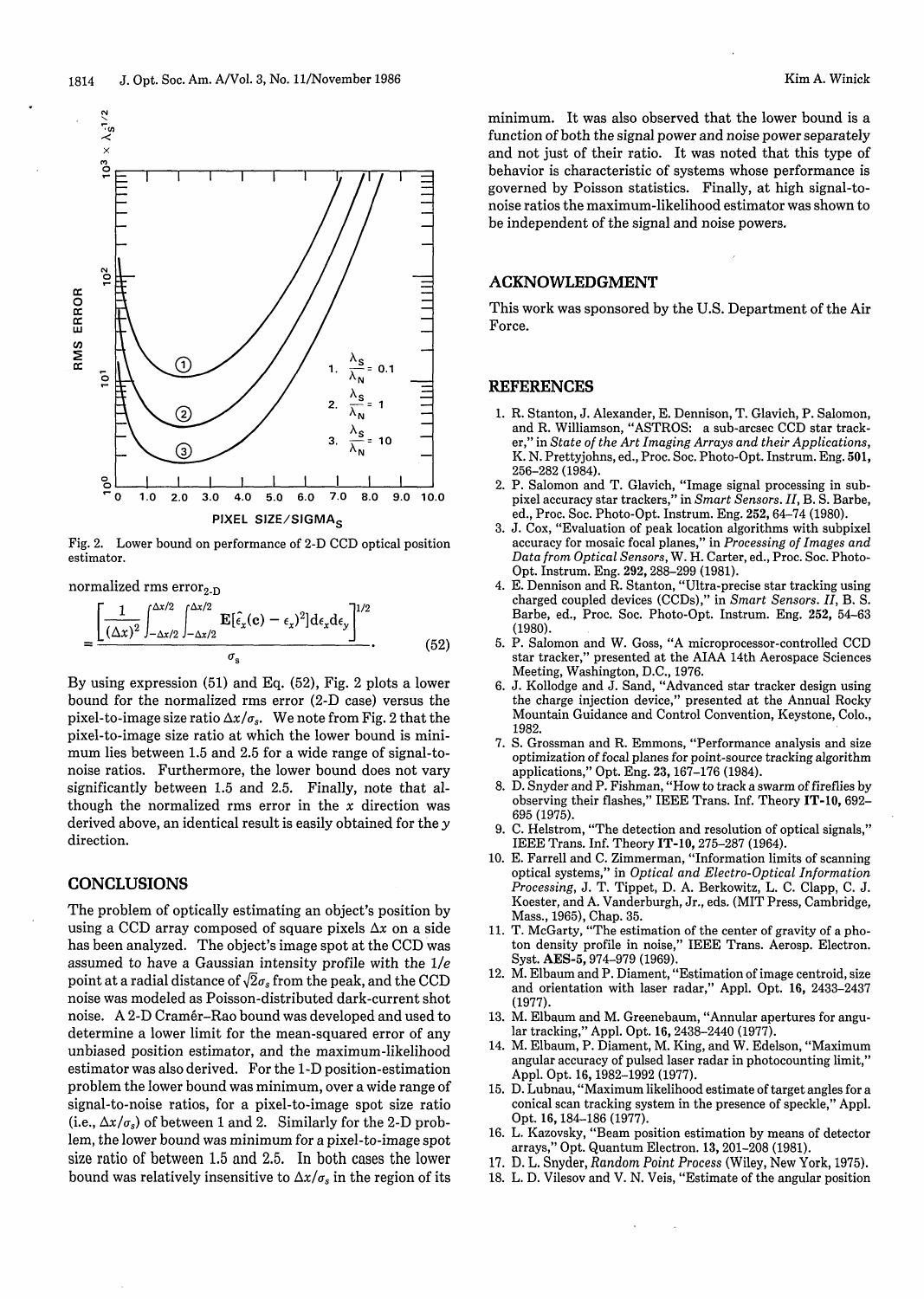



Fig. 2. Lower bound on performance of 2-D CCD optical position estimator.

normalized rms  $error_{2-D}$ 

 $\mathbf{N}$  $\cdot$   $\sigma$ 

 $\frac{3}{2}$ 

 $10<sup>2</sup>$ 

 $\overline{101}$ 

cc**0** cc

cc **W** *W,*

$$
= \frac{\left[\frac{1}{(\Delta x)^2}\int_{-\Delta x/2}^{\Delta x/2} \mathbf{E}[\hat{\epsilon}_x(\mathbf{c}) - \epsilon_x)^2] d\epsilon_x d\epsilon_y\right]^{1/2}}{\sigma_s}.
$$
(52)

By using expression (51) and Eq. (52), Fig. 2 plots a lower bound for the normalized rms error (2-D case) versus the pixel-to-image size ratio  $\Delta x / \sigma_s$ . We note from Fig. 2 that the pixel-to-image size ratio at which the lower bound is minimum lies between 1.5 and 2.5 for a wide range of signal-tonoise ratios. Furthermore, the lower bound does not vary significantly between 1.5 and 2.5. Finally, note that although the normalized rms error in the  $x$  direction was derived above, an identical result is easily obtained for the y direction.

# **CONCLUSIONS**

The problem of optically estimating an object's position by using a CCD array composed of square pixels *Ax* on a side has been analyzed. The object's image spot at the CCD was assumed to have a Gaussian intensity profile with the *1/e* point at a radial distance of  $\sqrt{2}\sigma_s$  from the peak, and the CCD noise was modeled as Poisson-distributed dark-current shot noise. A 2-D Cram6r-Rao bound was developed and used to determine a lower limit for the mean-squared error of any unbiased position estimator, and the maximum-likelihood estimator was also derived. For the 1-D position-estimation problem the lower bound was minimum, over a wide range of signal-to-noise ratios, for a pixel-to-image spot size ratio (i.e.,  $\Delta x / \sigma_s$ ) of between 1 and 2. Similarly for the 2-D problem, the lower bound was minimum for a pixel-to-image spot size ratio of between 1.5 and 2.5. In both cases the lower bound was relatively insensitive to  $\Delta x / \sigma_s$  in the region of its

minimum. It was also observed that the lower bound is a function of both the signal power and noise power separately and not just of their ratio. It was noted that this type of behavior is characteristic of systems whose performance is governed by Poisson statistics. Finally, at high signal-tonoise ratios the maximum-likelihood estimator was shown to be independent of the signal and noise powers.

# ACKNOWLEDGMENT

This work was sponsored by the U.S. Department of the Air Force.

#### REFERENCES

- 1. R. Stanton, J. Alexander, E. Dennison, T. Glavich, P. Salomon, and R. Williamson, "ASTROS: a sub-arcsec CCD star tracker," in *State of the Art Imaging Arrays and their Applications,* K. N. Prettyjohns, ed., Proc. Soc. Photo-Opt. Instrum. Eng. 501, 256-282 (1984).
- 2. P. Salomon and T. Glavich, "Image signal processing in subpixel accuracy star trackers," in *Smart Sensors. II,* B. S. Barbe, ed., Proc. Soc. Photo-Opt. Instrum. Eng. 252, 64-74 (1980).
- 3. J. Cox, "Evaluation of peak location algorithms with subpixel accuracy for mosaic focal planes," in *Processing of Images and Data from Optical Sensors,* W. H. Carter, ed., Proc. Soc. Photo-Opt. Instrum. Eng. 292, 288-299 (1981).
- 4. E. Dennison and R. Stanton, "Ultra-precise star tracking using charged coupled devices (CCDs)," in *Smart Sensors. II,* B. S. Barbe, ed., Proc. Soc. Photo-Opt. Instrum. Eng. 252, 54-63 (1980).
- 5. P. Salomon and W. Goss, "A microprocessor-controlled CCD star tracker," presented at the AIAA 14th Aerospace Sciences Meeting, Washington, D.C., 1976.
- 6. J. Kollodge and J. Sand, "Advanced star tracker design using the charge injection device," presented at the Annual Rocky Mountain Guidance and Control Convention, Keystone, Colo., 1982.
- 7. S. Grossman and R. Emmons, "Performance analysis and size optimization of focal planes for point-source tracking algorithm applications," Opt. Eng. 23, 167-176 (1984).
- 8. D. Snyder and P. Fishman, "How to track a swarm of fireflies by observing their flashes," IEEE Trans. Inf. Theory IT-10, 692- 695 (1975).
- 9. C. Helstrom, "The detection and resolution of optical signals," IEEE Trans. Inf. Theory **IT-l0,** 275-287 (1964).
- 10. E. Farrell and C. Zimmerman, "Information limits of scanning optical systems," in *Optical and Electro-Optical Information Processing,* J. T. Tippet, D. A. Berkowitz, L. C. Clapp, C. J. Koester, and A. Vanderburgh, Jr., eds. (MIT Press, Cambridge, Mass., 1965), Chap. 35.
- 11. T. McGarty, "The estimation of the center of gravity of a photon density profile in noise," IEEE Trans. Aerosp. Electron. Syst. AES-5, 974-979 (1969).
- 12. M. Elbaum and P. Diament, "Estimation of image centroid, size and orientation with laser radar," Appl. Opt. 16, 2433-2437 (1977).
- 13. M. Elbaum and M. Greenebaum, "Annular apertures for angular tracking," Appl. Opt. 16, 2438-2440 (1977).
- 14. M. Elbaum, P. Diament, M. King, and W. Edelson, "Maximum angular accuracy of pulsed laser radar in photocounting limit," Appl. Opt. 16,1982-1992 (1977).
- 15. D. Lubnau, "Maximum likelihood estimate of target angles for a conical scan tracking system in the presence of speckle," Appl. Opt. 16, 184-186 (1977).
- 16. L. Kazovsky, "Beam position estimation by means of detector arrays," Opt. Quantum Electron. 13, 201-208 (1981).
- 17. D. L. Snyder, *Random Point Process* (Wiley, New York, 1975).
- 18. L. D. Vilesov and V. N. Veis, "Estimate of the angular position

 $\bar{z}$